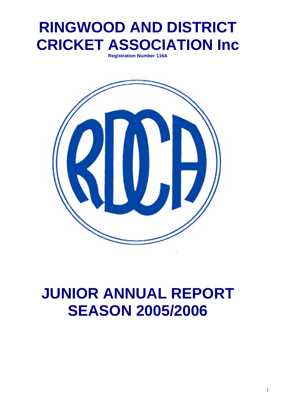# **RINGWOOD AND DISTRICT CRICKET ASSOCIATION Inc**

**Registration Number 116A** 



# **JUNIOR ANNUAL REPORT SEASON 2005/2006**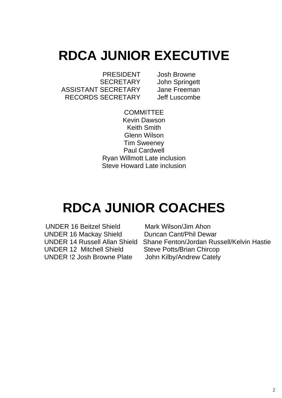# **RDCA JUNIOR EXECUTIVE**

 PRESIDENT Josh Browne SECRETARY John Springett ASSISTANT SECRETARY Jane Freeman RECORDS SECRETARY Jeff Luscombe

**COMMITTEE** Kevin Dawson Keith Smith Glenn Wilson Tim Sweeney Paul Cardwell Ryan Willmott Late inclusion Steve Howard Late inclusion

# **RDCA JUNIOR COACHES**

 UNDER 16 Beitzel Shield Mark Wilson/Jim Ahon UNDER 16 Mackay Shield Duncan Cant/Phil Dewar UNDER 12 Mitchell Shield Steve Potts/Brian Chircop UNDER !2 Josh Browne Plate John Kilby/Andrew Cately

UNDER 14 Russell Allan Shield Shane Fenton/Jordan Russell/Kelvin Hastie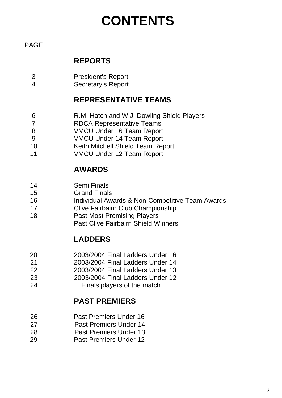# **CONTENTS**

#### PAGE

#### **REPORTS**

- 3 President's Report
- 4 Secretary's Report

#### **REPRESENTATIVE TEAMS**

- 6 R.M. Hatch and W.J. Dowling Shield Players
- 7 RDCA Representative Teams
- 8 VMCU Under 16 Team Report
- 9 VMCU Under 14 Team Report
- 10 Keith Mitchell Shield Team Report
- 11 VMCU Under 12 Team Report

#### **AWARDS**

- 14 Semi Finals
- 15 Grand Finals
- 16 Individual Awards & Non-Competitive Team Awards
- 17 Clive Fairbairn Club Championship
- 18 Past Most Promising Players Past Clive Fairbairn Shield Winners
	-

#### **LADDERS**

- 20 2003/2004 Final Ladders Under 16
- 21 2003/2004 Final Ladders Under 14
- 22 2003/2004 Final Ladders Under 13
- 23 2003/2004 Final Ladders Under 12
- 24 Finals players of the match

#### **PAST PREMIERS**

- 26 Past Premiers Under 16
- 27 Past Premiers Under 14
- 28 Past Premiers Under 13
- 29 Past Premiers Under 12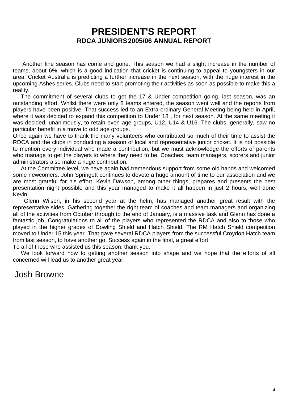#### **PRESIDENT'S REPORT RDCA JUNIORS 2005/06 ANNUAL REPORT**

 Another fine season has come and gone. This season we had a slight increase in the number of teams, about 6%, which is a good indication that cricket is continuing to appeal to youngsters in our area. Cricket Australia is predicting a further increase in the next season, with the huge interest in the upcoming Ashes series. Clubs need to start promoting their activities as soon as possible to make this a reality.

 The commitment of several clubs to get the 17 & Under competition going, last season, was an outstanding effort. Whilst there were only 8 teams entered, the season went well and the reports from players have been positive. That success led to an Extra-ordinary General Meeting being held in April, where it was decided to expand this competition to Under 18 , for next season. At the same meeting it was decided, unanimously, to retain even age groups, U12, U14 & U16. The clubs, generally, saw no particular benefit in a move to odd age groups.

Once again we have to thank the many volunteers who contributed so much of their time to assist the RDCA and the clubs in conducting a season of local and representative junior cricket. It is not possible to mention every individual who made a contribution, but we must acknowledge the efforts of parents who manage to get the players to where they need to be. Coaches, team managers, scorers and junior administrators also make a huge contribution.

 At the Committee level, we have again had tremendous support from some old hands and welcomed some newcomers. John Springett continues to devote a huge amount of time to our association and we are most grateful for his effort. Kevin Dawson, among other things, prepares and presents the best presentation night possible and this year managed to make it all happen in just 2 hours, well done Kevin!

 Glenn Wilson, in his second year at the helm, has managed another great result with the representative sides. Gathering together the right team of coaches and team managers and organizing all of the activities from October through to the end of January, is a massive task and Glenn has done a fantastic job. Congratulations to all of the players who represented the RDCA and also to those who played in the higher grades of Dowling Shield and Hatch Shield. The RM Hatch Shield competition moved to Under 15 this year. That gave several RDCA players from the successful Croydon Hatch team from last season, to have another go. Success again in the final, a great effort.

To all of those who assisted us this season, thank you.

 We look forward now to getting another season into shape and we hope that the efforts of all concerned will lead us to another great year.

Josh Browne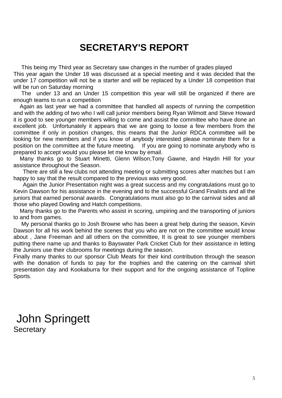### **SECRETARY'S REPORT**

 This being my Third year as Secretary saw changes in the number of grades played This year again the Under 18 was discussed at a special meeting and it was decided that the under 17 competition will not be a starter and will be replaced by a Under 18 competition that will be run on Saturday morning

 The under 13 and an Under 15 competition this year will still be organized if there are enough teams to run a competition

 Again as last year we had a committee that handled all aspects of running the competition and with the adding of two who I will call junior members being Ryan Wilmott and Steve Howard it is good to see younger members willing to come and assist the committee who have done an excellent job. Unfortunately it appears that we are going to loose a few members from the committee if only in position changes, this means that the Junior RDCA committee will be looking for new members and if you know of anybody interested please nominate them for a position on the committee at the future meeting. If you are going to nominate anybody who is prepared to accept would you please let me know by email.

 Many thanks go to Stuart Minetti, Glenn Wilson,Tony Gawne, and Haydn Hill for your assistance throughout the Season.

 There are still a few clubs not attending meeting or submitting scores after matches but I am happy to say that the result compared to the previous was very good.

 Again the Junior Presentation night was a great success and my congratulations must go to Kevin Dawson for his assistance in the evening and to the successful Grand Finalists and all the juniors that earned personal awards. Congratulations must also go to the carnival sides and all those who played Dowling and Hatch competitions.

 Many thanks go to the Parents who assist in scoring, umpiring and the transporting of juniors to and from games.

 My personal thanks go to Josh Browne who has been a great help during the season, Kevin Dawson for all his work behind the scenes that you who are not on the committee would know about , Jane Freeman and all others on the committee, It is great to see younger members putting there name up and thanks to Bayswater Park Cricket Club for their assistance in letting the Juniors use their clubrooms for meetings during the season.

Finally many thanks to our sponsor Club Meats for their kind contribution through the season with the donation of funds to pay for the trophies and the catering on the carnival shirt presentation day and Kookaburra for their support and for the ongoing assistance of Topline Sports.

 John Springett **Secretary**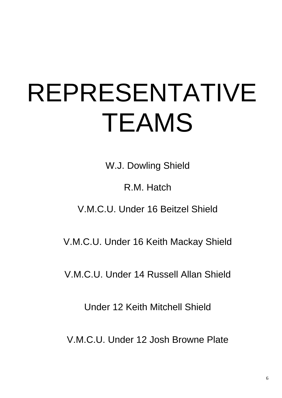# REPRESENTATIVE TEAMS

W.J. Dowling Shield

R.M. Hatch

V.M.C.U. Under 16 Beitzel Shield

V.M.C.U. Under 16 Keith Mackay Shield

V.M.C.U. Under 14 Russell Allan Shield

Under 12 Keith Mitchell Shield

V.M.C.U. Under 12 Josh Browne Plate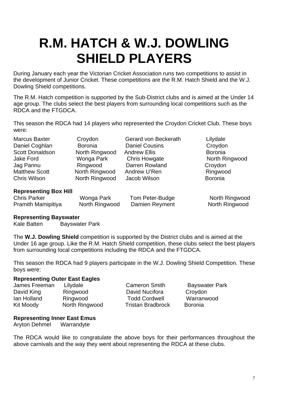# **R.M. HATCH & W.J. DOWLING SHIELD PLAYERS**

During January each year the Victorian Cricket Association runs two competitions to assist in the development of Junior Cricket. These competitions are the R.M. Hatch Shield and the W.J. Dowling Shield competitions.

The R.M. Hatch competition is supported by the Sub-District clubs and is aimed at the Under 14 age group. The clubs select the best players from surrounding local competitions such as the RDCA and the FTGDCA.

This season the RDCA had 14 players who represented the Croydon Cricket Club. These boys were:

Marcus Baxter **Croydon** Gerard von Beckerath Lilydale

Daniel Coghlan Boronia Daniel Cousins Croydon Scott Donaldson Morth Ringwood Andrew Ellis Boronia<br>
Jake Ford Chris Howaate North Rings Chris Howaate North Rings Jake Ford Wonga Park Chris Howgate North Ringwood Jag Pannu Ringwood Darren Rowland Croydon Matthew Scott Morth Ringwood Andrew U'Ren Ringwood Ringwood Chris Wilson **North Ringwood** Jacob Wilson **Boronia** 

#### **Representing Box Hill**

Chris Parker **North Wonga Park** Tom Peter-Budge North Ringwood Pramith Mamipitiva North Ringwood Damien Reyment North Ringwood

#### **Representing Bayswater**

Kale Batten Bayswater Park

The **W.J. Dowling Shield** competition is supported by the District clubs and is aimed at the Under 16 age group. Like the R.M. Hatch Shield competition, these clubs select the best players from surrounding local competitions including the RDCA and the FTGDCA.

This season the RDCA had 9 players participate in the W.J. Dowling Shield Competition. These boys were:

#### **Representing Outer East Eagles**

| Ringwood       |
|----------------|
| Ringwood       |
| North Ringwood |
|                |

David Nucifora Croydon Todd Cordwell Warranwood d Tristan Bradbrock Boronia

Cameron Smith Bayswater Park

#### **Representing Inner East Emus**

Aryton Dehmel Warrandyte

The RDCA would like to congratulate the above boys for their performances throughout the above carnivals and the way they went about representing the RDCA at these clubs.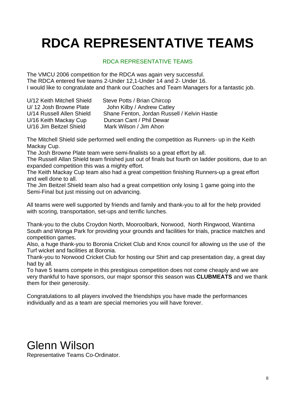# **RDCA REPRESENTATIVE TEAMS**

#### RDCA REPRESENTATIVE TEAMS

The VMCU 2006 competition for the RDCA was again very successful. The RDCA entered five teams 2-Under 12,1-Under 14 and 2- Under 16. I would like to congratulate and thank our Coaches and Team Managers for a fantastic job.

| U/12 Keith Mitchell Shield | Steve Potts / Brian Chircop                  |
|----------------------------|----------------------------------------------|
| U/12 Josh Browne Plate     | John Kilby / Andrew Catley                   |
| U/14 Russell Allen Shield  | Shane Fenton, Jordan Russell / Kelvin Hastie |
| U/16 Keith Mackay Cup      | Duncan Cant / Phil Dewar                     |
| U/16 Jim Beitzel Shield    | Mark Wilson / Jim Ahon                       |

The Mitchell Shield side performed well ending the competition as Runners- up in the Keith Mackay Cup.

The Josh Browne Plate team were semi-finalists so a great effort by all.

The Russell Allan Shield team finished just out of finals but fourth on ladder positions, due to an expanded competition this was a mighty effort.

The Keith Mackay Cup team also had a great competition finishing Runners-up a great effort and well done to all.

The Jim Beitzel Shield team also had a great competition only losing 1 game going into the Semi-Final but just missing out on advancing.

All teams were well supported by friends and family and thank-you to all for the help provided with scoring, transportation, set-ups and terrific lunches.

Thank-you to the clubs Croydon North, Mooroolbark, Norwood, North Ringwood, Wantirna South and Wonga Park for providing your grounds and facilities for trials, practice matches and competition games.

Also, a huge thank-you to Boronia Cricket Club and Knox council for allowing us the use of the Turf wicket and facilities at Boronia.

Thank-you to Norwood Cricket Club for hosting our Shirt and cap presentation day, a great day had by all.

To have 5 teams compete in this prestigious competition does not come cheaply and we are very thankful to have sponsors, our major sponsor this season was **CLUBMEATS** and we thank them for their generosity.

Congratulations to all players involved the friendships you have made the performances individually and as a team are special memories you will have forever.

## Glenn Wilson

Representative Teams Co-Ordinator.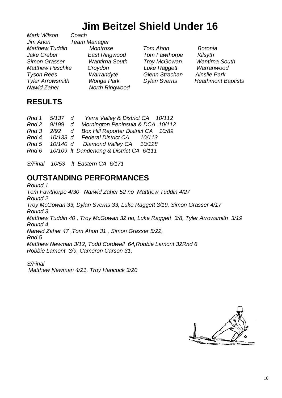# **Jim Beitzel Shield Under 16**

*Mark Wilson Jim Ahon Team Manager Matthew Tuddin Montrose Tom Ahon Boronia Jake Creber East Ringwood Tom Fawthorpe Kilsyth Simon Grasser Wantirna South Troy McGowan Wantirna South Matthew Peschke Croydon Luke Raggett Warranwood Tyson Rees Warrandyte Glenn Strachan Ainslie Park Tyler Arrowsmith Wonga Park Dylan Sverns Heathmont Baptists Nawid Zaher North Ringwood* 

#### **RESULTS**

|       |  | Rnd 1 5/137 d Yarra Valley & District CA 10/112  |  |
|-------|--|--------------------------------------------------|--|
| Rnd 2 |  | 9/199 d Mornington Peninsula & DCA 10/112        |  |
|       |  | Rnd 3 2/92 d Box Hill Reporter District CA 10/89 |  |
|       |  | Rnd 4 10/133 d Federal District CA 10/113        |  |
|       |  | Rnd 5 10/140 d Diamond Valley CA 10/128          |  |
| Rnd 6 |  | 10/109 It Dandenong & District CA 6/111          |  |

*S/Final 10/53 lt Eastern CA 6/171* 

#### **OUTSTANDING PERFORMANCES**

*Round 1 Tom Fawthorpe 4/30 Narwid Zaher 52 no Matthew Tuddin 4/27 Round 2 Troy McGowan 33, Dylan Sverns 33, Luke Raggett 3/19, Simon Grasser 4/17 Round 3 Matthew Tuddin 40 , Troy McGowan 32 no, Luke Raggett 3/8, Tyler Arrowsmith 3/19 Round 4 Narwid Zaher 47 ,Tom Ahon 31 , Simon Grasser 5/22, Rnd 5 Matthew Newman 3/12, Todd Cordwell 64,Robbie Lamont 32Rnd 6 Robbie Lamont 3/9, Cameron Carson 31,* 

*S/Final Matthew Newman 4/21, Troy Hancock 3/20*

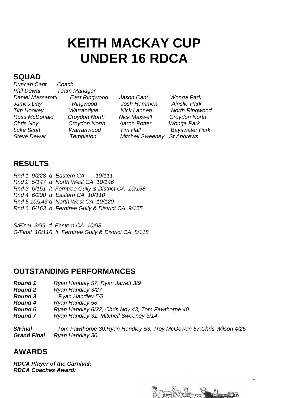# **KEITH MACKAY CUP UNDER 16 RDCA**

#### **SQUAD**

*Duncan Cant Coach Phil Dewar Team Manager Daniel Massarotti East Ringwood Jason Cant Wonga Park James Day Ringwood Josh Hammen Ainslie Park Tim Hookey Warrandyte Nick Lannen North Ringwood Chris Noy Croydon North Aaron Potter Wonga Park Luke Scott Warranwood Tim Hall Bayswater Park Steve Dewar Templeton Mitchell Sweeney St Andrews*

*Ross McDonald Croydon North Nick Maxwell Croydon North* 

#### **RESULTS**

*Rnd 1 9/228 d Eastern CA 10/111 Rnd 2 5/147 d North West CA 10/146 Rnd 3 6/151 lt Ferntree Gully & District CA 10/158 Rnd 4 6/200 d Eastern CA 10/110 Rnd 5 10/143 d North West CA 10/120 Rnd 6 6/163 d Ferntree Gully & District CA 9/155* 

*S/Final 3/99 d Eastern CA 10/98 G/Final 10/116 lt Ferntree Gully & District CA 8/118*

#### **OUTSTANDING PERFORMANCES**

- *Round 1 Ryan Handley 57, Ryan Jarrett 3/9*
- *Round 2 Ryan Handley 3/27*
- *Round 3 Ryan Handley 5/8*
- *Round 4 Ryan Handley 58*
- *Round 6 Ryan Handley 6/22, Chris Noy 43, Tom Fawthorpe 40*
- *Round 7 Ryan Handley 31, Mitchell Sweeney 3/14*

*S/Final Tom Fawthorpe 30,Ryan Handley 53, Troy McGowan 57,Chris Wilson 4/25 Grand Final Ryan Handley 30*

#### **AWARDS**

*RDCA Player of the Carnival: RDCA Coaches Award:* 

e 4<br>Fristonen matematik

11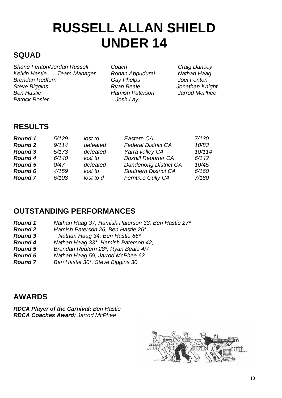# **RUSSELL ALLAN SHIELD UNDER 14**

#### **SQUAD**

*Shane Fenton/Jordan Russell Coach Craig Dancey Kelvin Hastie Team Manager Rohan Appudurai Nathan Haag Brendan Redfern Guy Phelps Joel Fenton Steve Biggins Ryan Beale Jonathan Knight*  **Ben Hastie Manual Accord Manual Hamish Paterson Patrick Rosier Communist Rosier Advisor** Josh Lav

#### **RESULTS**

| <b>Round 1</b> | 5/129 | lost to   | Eastern CA                   | 7/130  |
|----------------|-------|-----------|------------------------------|--------|
| <b>Round 2</b> | 9/114 | defeated  | <b>Federal District CA</b>   | 10/83  |
| <b>Round 3</b> | 5/173 | defeated  | Yarra valley CA              | 10/114 |
| <b>Round 4</b> | 6/140 | lost to   | <b>Boxhill Reporter CA</b>   | 6/142  |
| <b>Round 5</b> | 0/47  | defeated  | <b>Dandenong District CA</b> | 10/45  |
| <b>Round 6</b> | 4/159 | lost to   | <b>Southern District CA</b>  | 6/160  |
| <b>Round 7</b> | 6/108 | lost to d | <b>Ferntree Gully CA</b>     | 7/180  |

#### **OUTSTANDING PERFORMANCES**

- *Round 1 Nathan Haag 37, Hamish Paterson 33, Ben Hastie 27\**
- *Round 2 Hamish Paterson 26, Ben Hastie 26\**
- *Round 3 Nathan Haag 34, Ben Hastie 66\**
- *Round 4 Nathan Haag 33\*, Hamish Paterson 42,*
- *Round 5 Brendan Redfern 28\*, Ryan Beale 4/7*
- *Round 6 Nathan Haag 59, Jarrod McPhee 62*
- *Round 7 Ben Hastie 30\*, Steve Biggins 30*

#### **AWARDS**

*RDCA Player of the Carnival: Ben Hastie RDCA Coaches Award: Jarrod McPhee* 

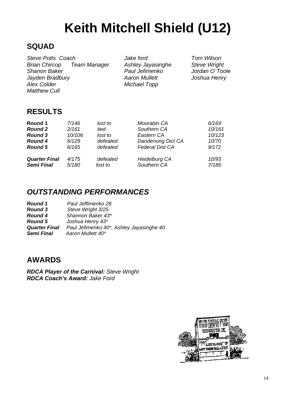# **Keith Mitchell Shield (U12)**

#### **SQUAD**

*Steve Potts Coach Jake ford Tom Wilson Brian Chircop Team Manager Ashley Jayasinghe Steve Wright Shanon Baker Paul Jefimenko Jordan O`Toole Jayden Bradbury Aaron Mullett Joshua Henry Alex Colder* **Michael Topp** *Matthew Cull* 

#### **RESULTS**

| Round 1                                   | 7/146          | lost to             | Moorabin CA                         | 6/169          |
|-------------------------------------------|----------------|---------------------|-------------------------------------|----------------|
| <b>Round 2</b>                            | 2/161          | tied                | Southern CA                         | 10/161         |
| <b>Round 3</b>                            | 10/106         | lost to             | Eastern CA                          | 10/123         |
| <b>Round 4</b>                            | 6/129          | defeated            | Dandenong Dict CA                   | 10/70          |
| <b>Round 5</b>                            | 6/165          | defeated            | <b>Federal Dist CA</b>              | 9/172          |
| <b>Quarter Final</b><br><b>Semi Final</b> | 4/175<br>5/180 | defeated<br>lost to | <b>Heidelburg CA</b><br>Southern CA | 10/93<br>7/185 |

#### *OUTSTANDING PERFORMANCES*

| Round 1              | Paul Jeffimenko 28                       |
|----------------------|------------------------------------------|
| <b>Round 3</b>       | Steve Wright 3/25                        |
| <b>Round 4</b>       | Shannon Baker 43*                        |
| <b>Round 5</b>       | Joshua Henry 43*                         |
| <b>Quarter Final</b> | Paul Jefimenko 40*, Ashley Jayasinghe 40 |
| <b>Semi Final</b>    | Aaron Mullett 40*                        |

#### **AWARDS**

*RDCA Player of the Carnival: Steve Wright RDCA Coach's Award: Jake Ford* 

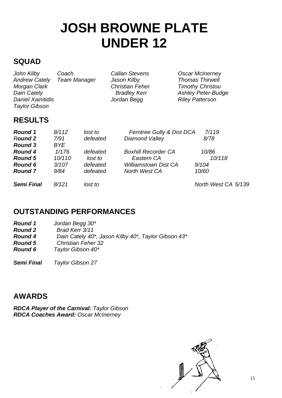# **JOSH BROWNE PLATE UNDER 12**

#### **SQUAD**

*John Kilby Coach Callan Stevens Oscar McInerney Morgan Clark Christian Feher Timothy Christou Dain Cately Bradley Kerr Ashley Peter-Budge Daniel Xainitidis Taylor Gibson* 

**Team Manager** Jason Kilby **Thomas Thirwell** 

#### **RESULTS**

| <b>Round 1</b><br>Round 2<br><b>Round 3</b>                          | 8/112<br>7/91<br>BYE.            | lost to<br>defeated                         | Ferntree Gully & Dist DCA<br><b>Diamond Valley</b>                                       | 7/119<br>8/78                     |
|----------------------------------------------------------------------|----------------------------------|---------------------------------------------|------------------------------------------------------------------------------------------|-----------------------------------|
| <b>Round 4</b><br><b>Round 5</b><br><b>Round 6</b><br><b>Round 7</b> | 1/176<br>10/110<br>3/107<br>9/84 | defeated<br>lost to<br>defeated<br>defeated | <b>Boxhill Recorder CA</b><br>Eastern CA<br><b>Williamstown Dist CA</b><br>North West CA | 10/86<br>10/118<br>9/104<br>10/60 |
| <b>Semi Final</b>                                                    | 8/121                            | lost to                                     |                                                                                          | North West CA 5/139               |

#### **OUTSTANDING PERFORMANCES**

| <b>Round 1</b> | Jordan Begg 30*                                     |
|----------------|-----------------------------------------------------|
| <b>Round 2</b> | Brad Kerr 3/11                                      |
| <b>Round 4</b> | Dain Cately 40*, Jason Kilby 40*, Taylor Gibson 43* |
| <b>Round 5</b> | <b>Christian Feher 32</b>                           |
| <b>Round 6</b> | Taylor Gibson 40*                                   |
|                |                                                     |

*Semi Final Taylor Gibson 27* 

#### **AWARDS**

*RDCA Player of the Carnival: Taylor Gibson RDCA Coaches Award: Oscar McInerney* 

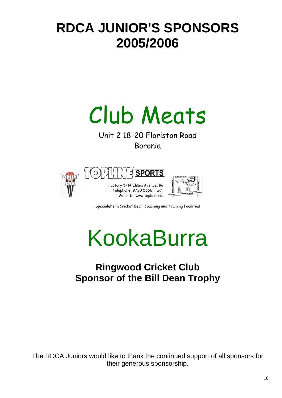# **RDCA JUNIOR'S SPONSORS 2005/2006**

# Club Meats

Unit 2 18-20 Floriston Road Boronia







Specialists in Cricket Gear, Coaching and Training Facilities

# KookaBurra

### **Ringwood Cricket Club Sponsor of the Bill Dean Trophy**

The RDCA Juniors would like to thank the continued support of all sponsors for their generous sponsorship.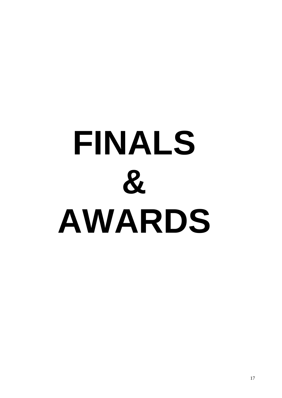# **FINALS & AWARDS**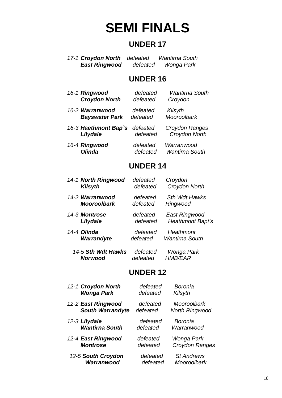# **SEMI FINALS**

#### **UNDER 17**

 *17-1 Croydon North defeated Wantirna South*   $\theta$ *defeated Wonga Park* 

#### **UNDER 16**

| 16-1 Ringwood | <b>Croydon North</b>  | defeated<br>defeated | <b>Wantirna South</b><br>Croydon    |
|---------------|-----------------------|----------------------|-------------------------------------|
|               | 16-2 Warranwood       | defeated             | Kilsyth                             |
|               | <b>Bayswater Park</b> | defeated             | Mooroolbark                         |
|               | 16-3 Haethmont Bap's  | defeated             | Croydon Ranges                      |
|               | Lilydale              | defeated             | Croydon North                       |
| 16-4 Ringwood | <b>Olinda</b>         | defeated<br>defeated | Warranwood<br><b>Wantirna South</b> |

#### **UNDER 14**

| 14-1 North Ringwood | defeated | Croydon               |
|---------------------|----------|-----------------------|
| <b>Kilsyth</b>      | defeated | Croydon North         |
| 14-2 Warranwood     | defeated | Sth Wdt Hawks         |
| <b>Mooroolbark</b>  | defeated | Ringwood              |
| 14-3 Montrose       | defeated | East Ringwood         |
| Lilydale            | defeated | Heathmont Bapt's      |
| 14-4 Olinda         | defeated | Heathmont             |
| Warrandyte          | defeated | <b>Wantirna South</b> |

 *14-5 Sth Wdt Hawks defeated Wonga Park Norwood defeated* 

#### **UNDER 12**

| 12-1 Croydon North      | defeated | Boronia               |
|-------------------------|----------|-----------------------|
| <b>Wonga Park</b>       | defeated | Kilsyth               |
| 12-2 East Ringwood      | defeated | Mooroolbark           |
| <b>South Warrandyte</b> | defeated | <b>North Ringwood</b> |
| 12-3 Lilydale           | defeated | Boronia               |
| <b>Wantirna South</b>   | defeated | Warranwood            |
| 12-4 East Ringwood      | defeated | Wonga Park            |
| <b>Montrose</b>         | defeated | Croydon Ranges        |
| 12-5 South Croydon      | defeated | <b>St Andrews</b>     |
| Warranwood              | defeated | Mooroolbark           |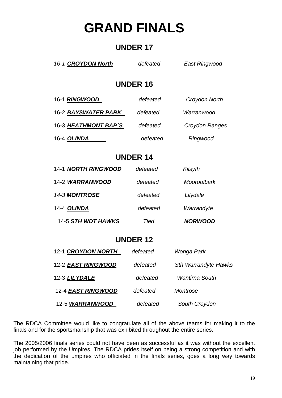# **GRAND FINALS**

#### **UNDER 17**

| 16-1 <b>CROYDON North</b>  | defeated        | East Ringwood         |  |  |  |  |
|----------------------------|-----------------|-----------------------|--|--|--|--|
|                            | <b>UNDER 16</b> |                       |  |  |  |  |
| 16-1 RINGWOOD              | defeated        | Croydon North         |  |  |  |  |
| 16-2 <b>BAYSWATER PARK</b> | defeated        | Warranwood            |  |  |  |  |
| 16-3 HEATHMONT BAP`S       | defeated        | <b>Croydon Ranges</b> |  |  |  |  |
| 16-4 OLINDA                | defeated        | Ringwood              |  |  |  |  |
|                            | <b>UNDER 14</b> |                       |  |  |  |  |
| <b>14-1 NORTH RINGWOOD</b> | defeated        | Kilsyth               |  |  |  |  |
| 14-2 WARRANWOOD            | defeated        | Mooroolbark           |  |  |  |  |
| 14-3 MONTROSE              | defeated        | Lilydale              |  |  |  |  |
| 14-4 OLINDA                | defeated        | Warrandyte            |  |  |  |  |
| 14-5 STH WDT HAWKS         | Tied            | <b>NORWOOD</b>        |  |  |  |  |
|                            | <b>UNDER 12</b> |                       |  |  |  |  |
| 12-1 CROYDON NORTH         | defeated        | Wonga Park            |  |  |  |  |

| 12-2 EAST RINGWOOD | defeated | <b>Sth Warrandyte Hawks</b> |
|--------------------|----------|-----------------------------|
| 12-3 LILYDALE      | defeated | <b>Wantirna South</b>       |
| 12-4 EAST RINGWOOD | defeated | Montrose                    |
| 12-5 WARRANWOOD    | defeated | South Croydon               |

The RDCA Committee would like to congratulate all of the above teams for making it to the finals and for the sportsmanship that was exhibited throughout the entire series.

The 2005/2006 finals series could not have been as successful as it was without the excellent job performed by the Umpires. The RDCA prides itself on being a strong competition and with the dedication of the umpires who officiated in the finals series, goes a long way towards maintaining that pride.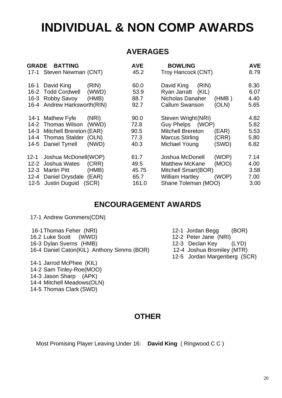## **INDIVIDUAL & NON COMP AWARDS**

#### **AVERAGES**

| <b>GRADE</b>                                     | <b>BATTING</b><br>17-1 Steven Newman (CNT)                                                                 |                                  | <b>AVE</b><br>45.2                     | <b>BOWLING</b><br>Troy Hancock (CNT)                                                                             |                         | <b>AVE</b><br>8.79                   |
|--------------------------------------------------|------------------------------------------------------------------------------------------------------------|----------------------------------|----------------------------------------|------------------------------------------------------------------------------------------------------------------|-------------------------|--------------------------------------|
| $16 - 1$<br>$16 - 2$<br>16-3                     | David King<br><b>Todd Cordwell</b><br>Robby Savoy<br>16-4 Andrew Harksworth(RIN)                           | (RIN)<br>(WWD)<br>(HMB)          | 60.0<br>53.9<br>88.7<br>92.7           | David King<br>(RIN)<br>Ryan Jarratt<br>(KIL)<br>Nicholas Danaher<br><b>Callum Swanson</b>                        | (HMB)<br>(OLN)          | 8.30<br>6.07<br>4.40<br>5.65         |
| 14-3<br>14-5                                     | 14-1 Mathew Fyfe<br>14-2 Thomas Wilson<br>Mitchell Brereton (EAR)<br>14-4 Thomas Stalder<br>Daniel Tyrrell | (NRI)<br>(WWD)<br>(OLN)<br>(NWD) | 90.0<br>72.8<br>90.5<br>77.3<br>40.3   | Steven Wright (NRI)<br>Guy Phelps (WOP)<br><b>Mitchell Brereton</b><br><b>Marcus Stirling</b><br>Michael Young   | (EAR)<br>(CRR)<br>(SWD) | 4.82<br>5.82<br>5.53<br>5.80<br>6.82 |
| 12-1<br>$12 - 2$<br>$12 - 3$<br>$12 - 4$<br>12-5 | Joshua McDonell(WOP)<br>Joshua Wates<br><b>Martin Pitt</b><br>Daniel Drysdale (EAR)<br>Justin Duguid       | (CRR)<br>(HMB)<br>(SCR)          | 61.7<br>49.5<br>45.75<br>65.7<br>161.0 | Joshua McDonell<br><b>Matthew McKane</b><br>Mitchell Smart(BOR)<br><b>William Hartley</b><br>Shane Toleman (MOO) | (WOP)<br>(MOO)<br>(WOP) | 7.14<br>4.00<br>3.58<br>7.00<br>3.00 |

#### **ENCOURAGEMENT AWARDS**

17-1 Andrew Gommers(CDN)

 14-1 Jarrod McPhee (KIL) 14-2 Sam Tinley-Roe(MOO) 14-3 Jason Sharp (APK) 14-4 Mitchell Meadows(OLN) 14-5 Thomas Clark (SWD)

| 16-1 Thomas Feher (NRI)                    |  |
|--------------------------------------------|--|
| 16.2 Luke Scott (WWD)                      |  |
| 16-3 Dylan Sverns (HMB)                    |  |
| 16-4 Daniel Caton(KIL) Anthony Simms (BOR) |  |

- 12-1 Jordan Begg (BOR)
- 12-2 Peter Jane (NRI)
- 12-3 Declan Key (LYD)
- (MTR) 12-4 Joshua Bromiley (MTR)
	- 12-5 Jordan Margenberg (SCR)

**OTHER** 

Most Promising Player Leaving Under 16: **David King** ( Ringwood C C )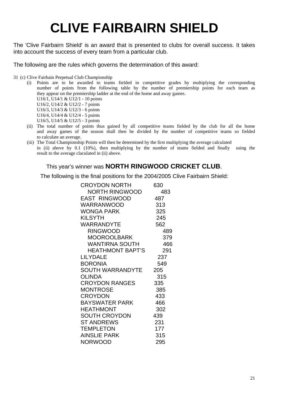# **CLIVE FAIRBAIRN SHIELD**

The 'Clive Fairbairn Shield' is an award that is presented to clubs for overall success. It takes into account the success of every team from a particular club.

The following are the rules which governs the determination of this award:

31 (c) Clive Fairbain Perpetual Club Championship

- (i) Points are to be awarded to teams fielded in competitive grades by multiplying the corresponding number of points from the following table by the number of premiership points for each team as they appear on the premiership ladder at the end of the home and away games.
	- U16/1, U14/1 & U12/1 10 points U16/2, U14/2 & U12/2 - 7 points U16/3, U14/3 & U12/3 - 6 points U16/4, U14/4 & U12/4 - 5 points
	- U16/5, U14/5 & U12/5 3 points
- (ii) The total number of points thus gained by all competitive teams fielded by the club for all the home and away games of the season shall then be divided by the number of competitive teams so fielded to calculate an average.
- (iii) The Total Championship Points will then be determined by the first multiplying the average calculated in (ii) above by 0.1 (10%), then multiplying by the number of teams fielded and finally using the result to the average claculated in (ii) above.

#### This year's winner was **NORTH RINGWOOD CRICKET CLUB**.

The following is the final positions for the 2004/2005 Clive Fairbairn Shield:

| <b>CROYDON NORTH</b>    | 630 |
|-------------------------|-----|
| <b>NORTH RINGWOOD</b>   | 483 |
| <b>EAST RINGWOOD</b>    | 487 |
| <b>WARRANWOOD</b>       | 313 |
| WONGA PARK              | 325 |
| <b>KILSYTH</b>          | 245 |
| WARRANDYTE              | 562 |
| <b>RINGWOOD</b>         | 489 |
| MOOROOLBARK             | 379 |
| WANTIRNA SOUTH          | 466 |
| <b>HEATHMONT BAPT'S</b> | 291 |
| <b>LILYDALE</b>         | 237 |
| <b>BORONIA</b>          | 549 |
| <b>SOUTH WARRANDYTE</b> | 205 |
| <b>OLINDA</b>           | 315 |
| <b>CROYDON RANGES</b>   | 335 |
| <b>MONTROSE</b>         | 385 |
| <b>CROYDON</b>          | 433 |
| <b>BAYSWATER PARK</b>   | 466 |
| <b>HEATHMONT</b>        | 302 |
| <b>SOUTH CROYDON</b>    | 439 |
| ST ANDREWS              | 231 |
| <b>TEMPLETON</b>        | 177 |
| <b>AINSLIE PARK</b>     | 315 |
| <b>NORWOOD</b>          | 295 |
|                         |     |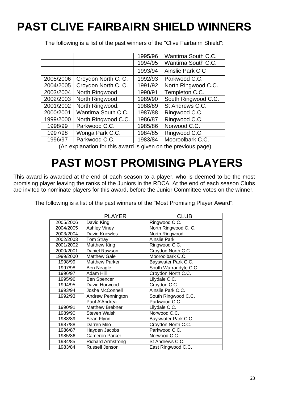## **PAST CLIVE FAIRBAIRN SHIELD WINNERS**

|           |                     | 1995/96 | Wantirna South C.C. |
|-----------|---------------------|---------|---------------------|
|           |                     | 1994/95 | Wantirna South C.C. |
|           |                     | 1993/94 | Ainslie Park C C    |
| 2005/2006 | Croydon North C. C. | 1992/93 | Parkwood C.C.       |
| 2004/2005 | Croydon North C. C. | 1991/92 | North Ringwood C.C. |
| 2003/2004 | North Ringwood      | 1990/91 | Templeton C.C.      |
| 2002/2003 | North Ringwood      | 1989/90 | South Ringwood C.C. |
| 2001/2002 | North Ringwood.     | 1988/89 | St Andrews C.C.     |
| 2000/2001 | Wantirna South C.C. | 1987/88 | Ringwood C.C.       |
| 1999/2000 | North Ringwood C.C. | 1986/87 | Ringwood C.C.       |
| 1998/99   | Parkwood C.C.       | 1985/86 | Norwood C.C.        |
| 1997/98   | Wonga Park C.C.     | 1984/85 | Ringwood C.C.       |
| 1996/97   | Parkwood C.C.       | 1983/84 | Mooroolbark C.C.    |

The following is a list of the past winners of the "Clive Fairbairn Shield":

(An explanation for this award is given on the previous page)

## **PAST MOST PROMISING PLAYERS**

This award is awarded at the end of each season to a player, who is deemed to be the most promising player leaving the ranks of the Juniors in the RDCA. At the end of each season Clubs are invited to nominate players for this award, before the Junior Committee votes on the winner.

| The following is a list of the past winners of the "Most Promising Player Award": |  |  |  |  |
|-----------------------------------------------------------------------------------|--|--|--|--|
|                                                                                   |  |  |  |  |

|           | <b>PLAYER</b>            | <b>CLUB</b>           |
|-----------|--------------------------|-----------------------|
| 2005/2006 | David King               | Ringwood C.C.         |
|           |                          |                       |
| 2004/2005 | <b>Ashley Viney</b>      | North Ringwood C. C.  |
| 2003/2004 | David Knowles            | North Ringwood        |
| 2002/2003 | Tom Stray                | <b>Ainslie Park</b>   |
| 2001/2002 | <b>Matthew King</b>      | Ringwood C.C.         |
| 2000/2001 | Daniel Rawson            | Croydon North C.C.    |
| 1999/2000 | <b>Matthew Gale</b>      | Mooroolbark C.C.      |
| 1998/99   | <b>Matthew Parker</b>    | Bayswater Park C.C.   |
| 1997/98   | Ben Neagle               | South Warrandyte C.C. |
| 1996/97   | <b>Adam Hill</b>         | Croydon North C.C.    |
| 1995/96   | <b>Ben Spencer</b>       | Lilydale C.C.         |
| 1994/95   | David Horwood            | Croydon C.C.          |
| 1993/94   | Joshe McConnell          | Ainslie Park C.C.     |
| 1992/93   | <b>Andrew Pennington</b> | South Ringwood C.C.   |
|           | Paul A'Andrea            | Parkwood C.C.         |
| 1990/91   | <b>Matthew Brebner</b>   | Lilydale C.C.         |
| 1989/90   | Steven Walsh             | Norwood C.C.          |
| 1988/89   | Sean Flynn               | Bayswater Park C.C.   |
| 1987/88   | Darren Milo              | Croydon North C.C.    |
| 1986/87   | Hayden Jacobs            | Parkwood C.C.         |
| 1985/86   | <b>Cameron Parker</b>    | Norwood C.C.          |
| 1984/85   | <b>Richard Armstrong</b> | St Andrews C.C.       |
| 1983/84   | Russell Jenson           | East Ringwood C.C.    |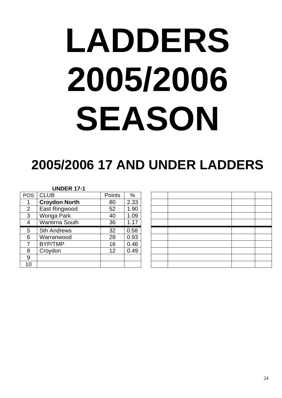# **LADDERS 2005/2006 SEASON**

# **2005/2006 17 AND UNDER LADDERS**

#### **UNDER 17-1**

| <b>POS</b>     | <b>CLUB</b>           | Points | %    |
|----------------|-----------------------|--------|------|
| 1              | <b>Croydon North</b>  | 80     | 2.33 |
| $\overline{2}$ | East Ringwood         | 52     | 1.90 |
| 3              | Wonga Park            | 40     | 1.09 |
| $\overline{4}$ | <b>Wantirna South</b> | 36     | 1.17 |
| 5              | <b>Sth Andrews</b>    | 32     | 0.58 |
| 6              | Warranwood            | 28     | 0.93 |
| 7              | <b>BYP/TMP</b>        | 16     | 0.46 |
| 8              | Croydon               | 12     | 0.49 |
| 9              |                       |        |      |
| 10             |                       |        |      |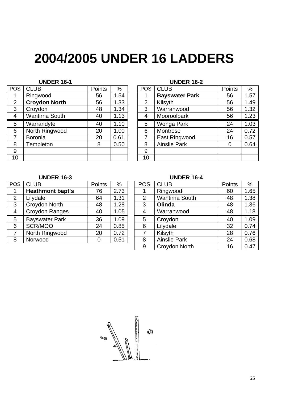# **2004/2005 UNDER 16 LADDERS**

#### **UNDER 16-1 UNDER 16-2**

| <b>POS</b> | <b>CLUB</b>           | Points | %    | <b>POS</b>      | <b>CLUB</b>           | Points | $\%$          |
|------------|-----------------------|--------|------|-----------------|-----------------------|--------|---------------|
| 1          | Ringwood              | 56     | 1.54 |                 | <b>Bayswater Park</b> | 56     | 1.5           |
| 2          | <b>Croydon North</b>  | 56     | 1.33 | $\overline{2}$  | Kilsyth               | 56     | 1.49          |
| 3          | Croydon               | 48     | 1.34 | 3               | Warranwood            | 56     | 1.32          |
| 4          | <b>Wantirna South</b> | 40     | 1.13 | 4               | Mooroolbark           | 56     | 1.23          |
| 5          | Warrandyte            | 40     | 1.10 | 5               | Wonga Park            | 24     | 1.03          |
| 6          | North Ringwood        | 20     | 1.00 | 6               | Montrose              | 24     | 0.72          |
|            | <b>Boronia</b>        | 20     | 0.61 | 7               | East Ringwood         | 16     | $0.5^{\circ}$ |
| 8          | <b>Templeton</b>      | 8      | 0.50 | 8               | <b>Ainslie Park</b>   | 0      | 0.64          |
| 9          |                       |        |      | 9               |                       |        |               |
| 10         |                       |        |      | 10 <sup>°</sup> |                       |        |               |

| ОS              | <b>CLUB</b>           | Points | %    | <b>POS</b>     | <b>CLUB</b>           | Points | $\%$ |
|-----------------|-----------------------|--------|------|----------------|-----------------------|--------|------|
| 1               | Ringwood              | 56     | 1.54 |                | <b>Bayswater Park</b> | 56     | 1.57 |
| $\overline{2}$  | <b>Croydon North</b>  | 56     | 1.33 | $\overline{2}$ | Kilsyth               | 56     | 1.49 |
| $\overline{3}$  | Croydon               | 48     | 1.34 | 3              | Warranwood            | 56     | 1.32 |
| 4               | <b>Wantirna South</b> | 40     | 1.13 | 4              | Mooroolbark           | 56     | 1.23 |
| 5               | Warrandyte            | 40     | 1.10 | 5              | Wonga Park            | 24     | 1.03 |
| 6               | North Ringwood        | 20     | 1.00 | 6              | Montrose              | 24     | 0.72 |
| $\overline{7}$  | Boronia               | 20     | 0.61 | 7              | East Ringwood         | 16     | 0.57 |
| 8               | Templeton             | 8      | 0.50 | 8              | <b>Ainslie Park</b>   | 0      | 0.64 |
| 9               |                       |        |      | 9              |                       |        |      |
| $\overline{10}$ |                       |        |      | 10             |                       |        |      |

| <b>POS</b>     | <b>CLUB</b>             | Points | %    | <b>POS</b> | <b>CLUB</b>           | Points | $\%$ |
|----------------|-------------------------|--------|------|------------|-----------------------|--------|------|
|                | <b>Heathmont bapt's</b> | 76     | 2.73 |            | Ringwood              | 60     | 1.65 |
| $\overline{2}$ | Lilydale                | 64     | 1.31 | 2          | <b>Wantirna South</b> | 48     | 1.38 |
| 3              | Croydon North           | 48     | 1.28 | 3          | Olinda                | 48     | 1.36 |
| $\overline{4}$ | Croydon Ranges          | 40     | 1.05 | 4          | Warranwood            | 48     | 1.18 |
| 5              | <b>Bayswater Park</b>   | 36     | 1.09 | 5          | Croydon               | 40     | 1.09 |
| 6              | SCR/MOO                 | 24     | 0.85 | 6          | Lilydale              | 32     | 0.74 |
|                | North Ringwood          | 20     | 0.72 |            | Kilsyth               | 28     | 0.76 |
| 8              | Norwood                 | 0      | 0.51 | 8          | <b>Ainslie Park</b>   | 24     | 0.68 |
|                |                         |        |      |            |                       |        |      |

#### **UNDER 16-3 UNDER 16-4**

| OS             | <b>CLUB</b>             | Points | %    | <b>POS</b>     | <b>CLUB</b>         | <b>Points</b> | $\frac{0}{0}$ |
|----------------|-------------------------|--------|------|----------------|---------------------|---------------|---------------|
| 1              | <b>Heathmont bapt's</b> | 76     | 2.73 |                | Ringwood            | 60            | 1.65          |
| $\overline{2}$ | Lilydale                | 64     | 1.31 | $\overline{2}$ | Wantirna South      | 48            | 1.38          |
| 3              | Croydon North           | 48     | 1.28 | 3              | Olinda              | 48            | 1.36          |
| 4              | Croydon Ranges          | 40     | 1.05 | 4              | Warranwood          | 48            | 1.18          |
| 5              | <b>Bayswater Park</b>   | 36     | 1.09 | 5              | Croydon             | 40            | 1.09          |
| 6              | SCR/MOO                 | 24     | 0.85 | 6              | Lilydale            | 32            | 0.74          |
| $\overline{7}$ | North Ringwood          | 20     | 0.72 |                | Kilsyth             | 28            | 0.76          |
| 8              | Norwood                 | 0      | 0.51 | 8              | <b>Ainslie Park</b> | 24            | 0.68          |
|                |                         |        |      | 9              | Croydon North       | 16            | 0.47          |

 $\mathbb{C}$ **Yksilk**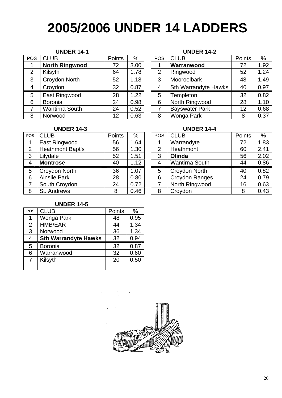# **2005/2006 UNDER 14 LADDERS**

#### **UNDER 14-1 UNDER 14-2**

| <b>POS</b>     | <b>CLUB</b>           | Points | %    | <b>POS</b>     | <b>CLUB</b>                 | Points | %    |
|----------------|-----------------------|--------|------|----------------|-----------------------------|--------|------|
|                | <b>North Ringwood</b> | 72     | 3.00 |                | Warranwood                  | 72     | 1.92 |
| $\overline{2}$ | Kilsyth               | 64     | 1.78 | $\overline{2}$ | Ringwood                    | 52     | 1.24 |
| 3              | Croydon North         | 52     | 1.18 | 3              | Mooroolbark                 | 48     | 1.49 |
| 4              | Croydon               | 32     | 0.87 | 4              | <b>Sth Warrandyte Hawks</b> | 40     | 0.97 |
| 5              | East Ringwood         | 28     | 1.22 | 5              | Templeton                   | 32     | 0.82 |
| 6              | <b>Boronia</b>        | 24     | 0.98 | 6              | North Ringwood              | 28     | 1.1( |
|                | Wantirna South        | 24     | 0.52 |                | <b>Bayswater Park</b>       | 12     | 0.68 |
| 8              | Norwood               | 12     | 0.63 | 8              | Wonga Park                  | 8      | 0.37 |

| ОS             | <b>CLUB</b>           | Points | %    | <b>POS</b> | <b>CLUB</b>                 | Points | %    |
|----------------|-----------------------|--------|------|------------|-----------------------------|--------|------|
| 1              | <b>North Ringwood</b> | 72     | 3.00 |            | Warranwood                  | 72     | 1.92 |
| $\overline{2}$ | Kilsyth               | 64     | 1.78 | 2          | Ringwood                    | 52     | 1.24 |
| 3              | Croydon North         | 52     | 1.18 | 3          | Mooroolbark                 | 48     | 1.49 |
| 4              | Croydon               | 32     | 0.87 | 4          | <b>Sth Warrandyte Hawks</b> | 40     | 0.97 |
| 5              | East Ringwood         | 28     | 1.22 | 5          | Templeton                   | 32     | 0.82 |
| 6              | Boronia               | 24     | 0.98 | 6          | North Ringwood              | 28     | 1.10 |
| $\overline{7}$ | <b>Wantirna South</b> | 24     | 0.52 |            | <b>Bayswater Park</b>       | 12     | 0.68 |
| 8              | Norwood               | 12     | 0.63 | 8          | Wonga Park                  | 8      | 0.37 |

| <b>CLUB</b>         | Points | %    | <b>POS</b>     | <b>CLUB</b>           | Points | %             |
|---------------------|--------|------|----------------|-----------------------|--------|---------------|
| East Ringwood       | 56     | 1.64 |                | Warrandyte            | 72     | 1.83          |
| Heathmont Bapt's    | 56     | 1.30 | 2              | Heathmont             | 60     | $2.4^{\circ}$ |
| Lilydale            | 52     | 1.51 | 3              | Olinda                | 56     | 2.02          |
| <b>Montrose</b>     | 40     | 1.12 | $\overline{4}$ | <b>Wantirna South</b> | 44     | 0.86          |
| Croydon North       | 36     | 1.07 | 5              | Croydon North         | 40     | 0.82          |
| <b>Ainslie Park</b> | 28     | 0.80 | 6              | Croydon Ranges        | 24     | 0.79          |
| South Croydon       | 24     | 0.72 |                | North Ringwood        | 16     | 0.63          |
| St. Andrews         | 8      | 0.46 | 8              | Croydon               | 8      | $0.4^{\circ}$ |
|                     |        |      |                |                       |        |               |

#### **UNDER 14-3 UNDER 14-4**

| OS. | <b>CLUB</b>             | Points | $\%$ | <b>POS</b>     | <b>CLUB</b>           | Points | $\%$ |
|-----|-------------------------|--------|------|----------------|-----------------------|--------|------|
| 1   | East Ringwood           | 56     | 1.64 |                | Warrandyte            | 72     | 1.83 |
| 2   | <b>Heathmont Bapt's</b> | 56     | 1.30 | $\overline{2}$ | Heathmont             | 60     | 2.41 |
| 3   | Lilydale                | 52     | 1.51 | 3              | Olinda                | 56     | 2.02 |
| 4   | <b>Montrose</b>         | 40     | 1.12 |                | <b>Wantirna South</b> | 44     | 0.86 |
| 5   | Croydon North           | 36     | 1.07 | 5              | Croydon North         | 40     | 0.82 |
| 6   | <b>Ainslie Park</b>     | 28     | 0.80 | 6              | <b>Croydon Ranges</b> | 24     | 0.79 |
| 7   | South Croydon           | 24     | 0.72 |                | North Ringwood        | 16     | 0.63 |
| 8   | St. Andrews             | 8      | 0.46 | 8              | Croydon               | 8      | 0.43 |

#### **UNDER 14-5**

| POS | <b>CLUB</b>                 | Points | %    |
|-----|-----------------------------|--------|------|
| 1   | Wonga Park                  | 48     | 0.95 |
| 2   | HMB/EAR                     | 44     | 1.34 |
| 3   | Norwood                     | 36     | 1.34 |
| 4   | <b>Sth Warrandyte Hawks</b> | 32     | 0.94 |
| 5   | <b>Boronia</b>              | 32     | 0.87 |
| 6   | Warranwood                  | 32     | 0.60 |
| 7   | Kilsyth                     | 20     | 0.50 |
|     |                             |        |      |

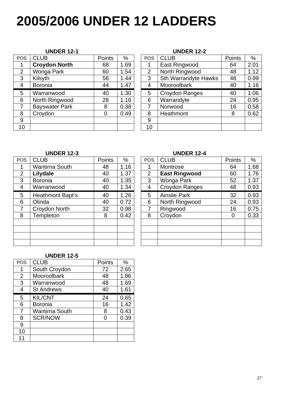# **2005/2006 UNDER 12 LADDERS**

| <b>POS</b>     | <b>CLUB</b>           | <b>Points</b>  | %    | <b>POS</b> | <b>CLUB</b>                 | Points | $\%$          |
|----------------|-----------------------|----------------|------|------------|-----------------------------|--------|---------------|
| 1              | <b>Croydon North</b>  | 68             | 1.69 |            | East Ringwood               | 64     | $2.0^{\circ}$ |
| 2              | Wonga Park            | 60             | 1.54 | 2          | North Ringwood              | 48     | 1.12          |
| 3              | Kilsyth               | 56             | 1.44 | 3          | <b>Sth Warrandyte Hawks</b> | 48     | 0.99          |
| $\overline{4}$ | <b>Boronia</b>        | 44             | 1.47 | 4          | Mooroolbark                 | 40     | 1.16          |
| 5              | Warranwood            | 40             | 1.30 | 5          | Croydon Ranges              | 40     | 1.06          |
| 6              | North Ringwood        | 28             | 1.16 | 6          | Warrandyte                  | 24     | 0.95          |
| 7              | <b>Bayswater Park</b> | 8              | 0.38 | 7          | Norwood                     | 16     | 0.58          |
| 8              | Croydon               | $\overline{0}$ | 0.49 | 8          | Heathmont                   | 8      | 0.62          |
| 9              |                       |                |      | 9          |                             |        |               |
| 10             |                       |                |      | 10         |                             |        |               |

#### **UNDER 12-1 UNDER 12-2**

| ОS             | <b>CLUB</b>          | Points | %    | <b>POS</b>     | <b>CLUB</b>          | <b>Points</b> | $\%$ |
|----------------|----------------------|--------|------|----------------|----------------------|---------------|------|
| $\mathbf 1$    | <b>Croydon North</b> | 68     | 1.69 |                | East Ringwood        | 64            | 2.01 |
| $\overline{c}$ | Wonga Park           | 60     | 1.54 | $\overline{2}$ | North Ringwood       | 48            | 1.12 |
| 3              | Kilsyth              | 56     | 1.44 | 3              | Sth Warrandyte Hawks | 48            | 0.99 |
| 4              | <b>Boronia</b>       | 44     | 1.47 | 4              | Mooroolbark          | 40            | 1.16 |
| 5              | Warranwood           | 40     | 1.30 | 5              | Croydon Ranges       | 40            | 1.06 |
| 6              | North Ringwood       | 28     | 1.16 | 6              | Warrandyte           | 24            | 0.95 |
| 7              | Bayswater Park       | 8      | 0.38 |                | Norwood              | 16            | 0.58 |
| 8              | Croydon              | 0      | 0.49 | 8              | Heathmont            | 8             | 0.62 |
| 9              |                      |        |      | 9              |                      |               |      |
| $\overline{0}$ |                      |        |      | 10             |                      |               |      |
|                |                      |        |      |                |                      |               |      |

#### **UNDER 12-3 UNDER 12-4**

| <b>POS</b>     | <b>CLUB</b>             | <b>Points</b> | %    | <b>POS</b> | <b>CLUB</b>          | Points | $\%$ |
|----------------|-------------------------|---------------|------|------------|----------------------|--------|------|
|                | <b>Wantirna South</b>   | 48            | 1.16 |            | Montrose             | 64     | 1.68 |
| $\overline{2}$ | Lilydale                | 40            | 1.37 | 2          | <b>East Ringwood</b> | 60     | 1.76 |
| 3              | <b>Boronia</b>          | 40            | 1.35 | 3          | Wonga Park           | 52     | 1.3  |
| 4              | Warranwood              | 40            | 1.34 | 4          | Croydon Ranges       | 48     | 0.93 |
| 5              | <b>Heathmont Bapt's</b> | 40            | 1.26 | 5          | <b>Ainslie Park</b>  | 32     | 0.93 |
| 6              | Olinda                  | 40            | 0.72 | 6          | North Ringwood       | 24     | 0.93 |
| $\overline{7}$ | Croydon North           | 32            | 0.98 | 7          | Ringwood             | 16     | 0.75 |
| 8              | Templeton               | 8             | 0.42 | 8          | Croydon              | 0      | 0.33 |
|                |                         |               |      |            |                      |        |      |
|                |                         |               |      |            |                      |        |      |
|                |                         |               |      |            |                      |        |      |
|                |                         |               |      |            |                      |        |      |

| ОS             | <b>CLUB</b>             | <b>Points</b> | %    | <b>POS</b> | <b>CLUB</b>           | <b>Points</b>  | %    |
|----------------|-------------------------|---------------|------|------------|-----------------------|----------------|------|
| 1              | <b>Wantirna South</b>   | 48            | 1.16 |            | Montrose              | 64             | 1.68 |
| $\overline{2}$ | Lilydale                | 40            | 1.37 | 2          | <b>East Ringwood</b>  | 60             | 1.76 |
| 3              | <b>Boronia</b>          | 40            | 1.35 | 3          | Wonga Park            | 52             | 1.37 |
| 4              | Warranwood              | 40            | 1.34 | 4          | <b>Croydon Ranges</b> | 48             | 0.93 |
| 5              | <b>Heathmont Bapt's</b> | 40            | 1.26 | 5          | <b>Ainslie Park</b>   | 32             | 0.93 |
| 6              | Olinda                  | 40            | 0.72 | 6          | North Ringwood        | 24             | 0.93 |
| $\overline{7}$ | Croydon North           | 32            | 0.98 |            | Ringwood              | 16             | 0.75 |
| 8              | Templeton               | 8             | 0.42 | 8          | Croydon               | $\overline{0}$ | 0.33 |
|                |                         |               |      |            |                       |                |      |
|                |                         |               |      |            |                       |                |      |
|                |                         |               |      |            |                       |                |      |
|                |                         |               |      |            |                       |                |      |

#### **UNDER 12-5**

| <b>POS</b>     | <b>CLUB</b>           | Points | $\%$ |
|----------------|-----------------------|--------|------|
| 1              | South Croydon         | 72     | 2.65 |
| $\overline{2}$ | Mooroolbark           | 48     | 1.86 |
| 3              | Warranwood            | 48     | 1.69 |
| 4              | <b>St Andrews</b>     | 40     | 1.61 |
| 5              | <b>KIL/CNT</b>        | 24     | 0.65 |
| 6              | <b>Boronia</b>        | 16     | 1.42 |
| 7              | <b>Wantirna South</b> | 8      | 0.43 |
| 8              | <b>SCR/NOW</b>        |        | 0.39 |
| 9              |                       |        |      |
| 10             |                       |        |      |
|                |                       |        |      |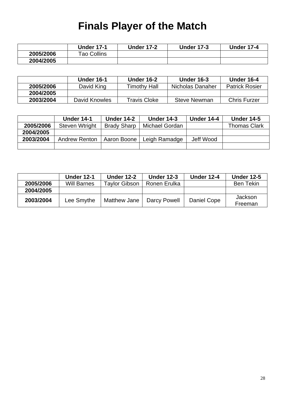## **Finals Player of the Match**

|           | <b>Under 17-1</b> | <b>Under 17-2</b> | <b>Under 17-3</b> | <b>Under 17-4</b> |
|-----------|-------------------|-------------------|-------------------|-------------------|
| 2005/2006 | Tao Collins       |                   |                   |                   |
| 2004/2005 |                   |                   |                   |                   |

|           | Under 16-1    | <b>Under 16-2</b> | <b>Under 16-3</b>   | <b>Under 16-4</b>     |
|-----------|---------------|-------------------|---------------------|-----------------------|
| 2005/2006 | David King    | Timothv Hall      | Nicholas Danaher    | <b>Patrick Rosier</b> |
| 2004/2005 |               |                   |                     |                       |
| 2003/2004 | David Knowles | Travis Cloke      | <b>Steve Newman</b> | <b>Chris Furzer</b>   |

|           | <b>Under 14-1</b>    | <b>Under 14-2</b>  | <b>Under 14-3</b> | Under 14-4 | <b>Under 14-5</b>   |
|-----------|----------------------|--------------------|-------------------|------------|---------------------|
| 2005/2006 | Steven Wtright       | <b>Brady Sharp</b> | Michael Gordan    |            | <b>Thomas Clark</b> |
| 2004/2005 |                      |                    |                   |            |                     |
| 2003/2004 | <b>Andrew Renton</b> | Aaron Boone        | Leigh Ramadge     | Jeff Wood  |                     |
|           |                      |                    |                   |            |                     |

|           | <b>Under 12-1</b>  | <b>Under 12-2</b> | <b>Under 12-3</b> | <b>Under 12-4</b> | <b>Under 12-5</b>  |
|-----------|--------------------|-------------------|-------------------|-------------------|--------------------|
| 2005/2006 | <b>Will Barnes</b> | Taylor Gibson     | Ronen Erulka      |                   | Tekin<br>Ben       |
| 2004/2005 |                    |                   |                   |                   |                    |
| 2003/2004 | Lee Smythe         | Matthew Jane      | Darcy Powell      | Daniel Cope       | Jackson<br>Freeman |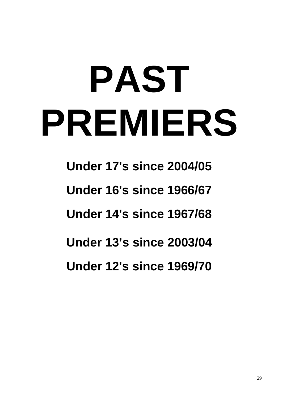# **PAST PREMIERS**

**Under 17's since 2004/05 Under 16's since 1966/67 Under 14's since 1967/68 Under 13's since 2003/04 Under 12's since 1969/70**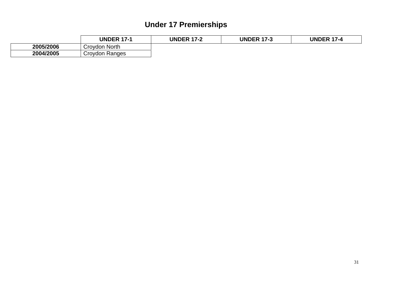### **Under 17 Premierships**

|           | <b>UNDER 17-1</b> | <b>UNDER 17-2</b><br>7-7 | <b>UNDER</b><br>$17-2$<br>د- ا | <b>UNDER 17-4</b> |
|-----------|-------------------|--------------------------|--------------------------------|-------------------|
| 2005/2006 | Croydon North     |                          |                                |                   |
| 2004/2005 | Croydon Ranges    |                          |                                |                   |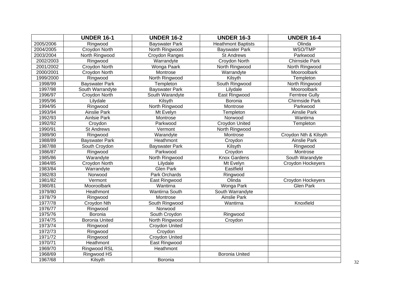|           | <b>UNDER 16-1</b>     | <b>UNDER 16-2</b>     | <b>UNDER 16-3</b>         | <b>UNDER 16-4</b>     |
|-----------|-----------------------|-----------------------|---------------------------|-----------------------|
| 2005/2006 | Ringwood              | <b>Bayswater Park</b> | <b>Heathmont Baptists</b> | Olinda                |
| 2004/2005 | Croydon North         | North Ringwood        | <b>Bayswater Park</b>     | WSO/TMP               |
| 2003/2004 | North Ringwood        | Croydon Ranges        | St Andrews                | Parkwood              |
| 2002/2003 | Ringwood              | Warrandyte            | <b>Croydon North</b>      | <b>Chirnside Park</b> |
| 2001/2002 | <b>Croydon North</b>  | Wonga Paark           | North Ringwood            | North Ringwood        |
| 2000/2001 | Croydon North         | Montrose              | Warrandyte                | Mooroolbark           |
| 1999/2000 | Ringwood              | North Ringwood        | Kilsyth                   | Templeton             |
| 1998/99   | <b>Bayswater Park</b> | Templeton             | South Ringwood            | North Ringwood        |
| 1997/98   | South Warrandyte      | <b>Bayswater Park</b> | Lilydale                  | Mooroolbark           |
| 1996/97   | Croydon North         | South Warandyte       | East Ringwood             | <b>Ferntree Gully</b> |
| 1995/96   | Lilydale              | Kilsyth               | Boronia                   | <b>Chirmside Park</b> |
| 1994/95   | Ringwood              | North Ringwood        | Montrose                  | Parkwood              |
| 1993/94   | <b>Ainslie Park</b>   | Mt Evelyn             | Templeton                 | <b>Ainslie Park</b>   |
| 1992/93   | <b>Ainlsie Park</b>   | Montrose              | Norwood                   | Wantirna              |
| 1992/92   | Croydon               | Parkwood              | Croydon United            | Templeton             |
| 1990/91   | <b>St Andrews</b>     | Vermont               | North Ringwood            |                       |
| 1989/90   | Ringwood              | Warandyte             | Montrose                  | Croydon Nth & Kilsyth |
| 1988/89   | <b>Bayswater Park</b> | Heathmont             | Croydon                   | <b>Ainslie Park</b>   |
| 1987/88   | South Croydon         | <b>Bayswater Park</b> | Kilsyth                   | Ringwood              |
| 1986/87   | Ringwood              | Parkwood              | Croydon                   | Montrose              |
| 1985/86   | Warandyte             | North Ringwood        | <b>Knox Gardens</b>       | South Warandyte       |
| 1984/85   | Croydon North         | Lilydale              | Mt Evelyn                 | Croydon Hockeyers     |
| 1983/84   | Warrandyte            | <b>Glen Park</b>      | Eastfield                 |                       |
| 1982/83   | Norwood               | Park Orchards         | Ringwood                  |                       |
| 1981/82   | Vermont               | East Ringwood         | Olinda                    | Croydon Hockeyers     |
| 1980/81   | Mooroolbark           | Wantirna              | Wonga Park                | <b>Glen Park</b>      |
| 1979/80   | Heathmont             | <b>Wantirna South</b> | South Warrandyte          |                       |
| 1978/79   | Ringwood              | Montrose              | <b>Ainslie Park</b>       |                       |
| 1977/78   | Croydon Nth           | South Ringwood        | Wantirna                  | Knoxfield             |
| 1976/77   | Ringwood              | Norwood               |                           |                       |
| 1975/76   | Boronia               | South Croydon         | Ringwood                  |                       |
| 1974/75   | <b>Boronia United</b> | North Ringwood        | Croydon                   |                       |
| 1973/74   | Ringwood              | Croydon United        |                           |                       |
| 1972/73   | Ringwood              | Croydon               |                           |                       |
| 1971/72   | Ringwood              | Croydon United        |                           |                       |
| 1970/71   | Heathmont             | East Ringwood         |                           |                       |
| 1969/70   | Ringwood RSL          | Heathmont             |                           |                       |
| 1968/69   | Ringwood HS           |                       | <b>Boronia United</b>     |                       |
| 1967/68   | Kilsyth               | Boronia               |                           |                       |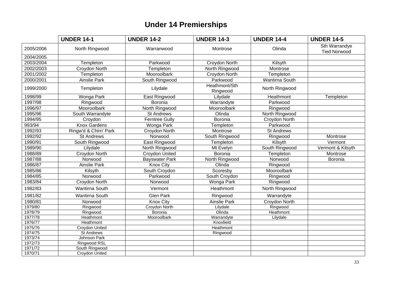### **Under 14 Premierships**

|           | <b>UNDER 14-1</b>     | <b>UNDER 14-2</b>     | <b>UNDER 14-3</b>         | <b>UNDER 14-4</b> | <b>UNDER 14-5</b>                    |
|-----------|-----------------------|-----------------------|---------------------------|-------------------|--------------------------------------|
| 2005/2006 | North Ringwood        | Warranwood            | Montrose                  | Olinda            | Sth Warrandye<br><b>Tied Norwood</b> |
| 2004/2005 |                       |                       |                           |                   |                                      |
| 2003/2004 | Templeton             | Parkwood              | Croydon North             | Kilsyth           |                                      |
| 2002/2003 | Croydon North         | Templeton             | North Ringwood            | Montrose          |                                      |
| 2001/2002 | Templeton             | Mooroolbark           | Croydon North             | Templeton         |                                      |
| 2000/2001 | <b>Ainslie Park</b>   | South Ringwood        | Parkwood                  | Wantirna South    |                                      |
| 1999/2000 | Templeton             | Lilydale              | Heathmont/Sth<br>Ringwood | North Ringwood    |                                      |
| 1998/99   | Wonga Park            | East Ringwood         | Lilydale                  | Heathmont         | Templeton                            |
| 1997/98   | Ringwood              | Boronia               | Warrandyte                | Parkwood          |                                      |
| 1996/97   | Mooroolbark           | North Ringwood        | Mooroolbark               | Ringwood          |                                      |
| 1995/96   | South Warrandyte      | <b>St Andrews</b>     | Olinda                    | North Ringwood    |                                      |
| 1994/95   | Croydon               | <b>Ferntree Gully</b> | Boronia                   | Croydon North     |                                      |
| 993/94    | <b>Knox Gardens</b>   | Wonga Park            | Templeton                 | Parkwood          |                                      |
| 1992/93   | Ringw'd & Chirn' Park | Croydon North         | Montrose                  | <b>St Andrews</b> |                                      |
| 1992/92   | <b>St Andrews</b>     | Norwood               | South Ringwood            | Ringwood          | Montrose                             |
| 1990/91   | South Ringwood        | East Ringwood         | Templeton                 | Kilsyth           | Vermont                              |
| 1989/90   | Lilydale              | North Ringwood        | Mt Evelyn                 | South Ringwood    | Vermont & Kilsyth                    |
| 1988/89   | Croydon North         | Croydon United        | Boronia                   | Templeton         | Montrose                             |
| 1987/88   | Norwood               | <b>Bayswater Park</b> | North Ringwood            | Norwood           | Boronia                              |
| 1986/87   | <b>Ainslie Park</b>   | <b>Knox City</b>      | Olinda                    | Ringwood          |                                      |
| 1985/86   | Kilsyth               | South Croydon         | Scoresby                  | Mooroolbark       |                                      |
| 1984/85   | Norwood               | Parkwood              | South Croydon             | Ringwood          |                                      |
| 1983/84   | Croydon North         | Norwood               | Wonga Park                | Ringwood          |                                      |
| 1982/83   | <b>Wantirna South</b> | Vermont               | Heathmont                 | North Ringwood    |                                      |
| 1981/82   | Wantirna South        | <b>Glen Park</b>      | Ringwood                  | Warrandyte        |                                      |
| 1980/81   | Norwood               | <b>Knox City</b>      | <b>Ainslie Park</b>       | Croydon North     |                                      |
| 1979/80   | Ringwood              | <b>Croydon North</b>  | Lilydale                  | Ringwood          |                                      |
| 1978/79   | Ringwood              | Boronia               | Olinda                    | Heathmont         |                                      |
| 1977/78   | Heathmont             | Mooroolbark           | Warrandyte                | Lilydale          |                                      |
| 1976/77   | Heathmont             |                       | Knoxfield                 |                   |                                      |
| 1975/76   | Croydon United        |                       | Heathmont                 |                   |                                      |
| 1974/75   | <b>St Andrews</b>     |                       | Ringwood                  |                   |                                      |
| 1973/74   | Johnson Park          |                       |                           |                   |                                      |
| 1972/73   | Ringwood RSL          |                       |                           |                   |                                      |
| 1971/72   | South Ringwood        |                       |                           |                   |                                      |
| 1970/71   | Croydon United        |                       |                           |                   |                                      |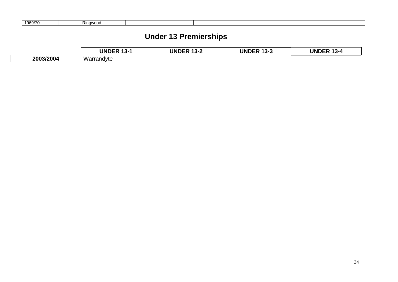| 1969/70 | ≀inawood |  |  |
|---------|----------|--|--|

#### **Under 13 Premierships**

|           | <b>UNDER</b><br>$\overline{\phantom{a}}$<br>ـ″−3 ו | <b>UNDER</b><br>10 C<br>ી ૩-૮ | UNI<br>I)Fk<br>1ل-3 | <b>UNDER 13-4</b><br>-3-4 |
|-----------|----------------------------------------------------|-------------------------------|---------------------|---------------------------|
| 2003/2004 | .<br>Warrandyte                                    |                               |                     |                           |